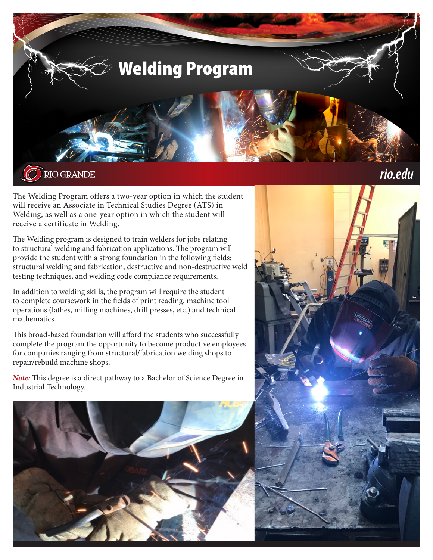

The Welding Program offers a two-year option in which the student will receive an Associate in Technical Studies Degree (ATS) in Welding, as well as a one-year option in which the student will receive a certificate in Welding.

The Welding program is designed to train welders for jobs relating to structural welding and fabrication applications. The program will provide the student with a strong foundation in the following fields: structural welding and fabrication, destructive and non-destructive weld testing techniques, and welding code compliance requirements.

In addition to welding skills, the program will require the student to complete coursework in the fields of print reading, machine tool operations (lathes, milling machines, drill presses, etc.) and technical mathematics.

This broad-based foundation will afford the students who successfully complete the program the opportunity to become productive employees for companies ranging from structural/fabrication welding shops to repair/rebuild machine shops.

*Note:* This degree is a direct pathway to a Bachelor of Science Degree in Industrial Technology.